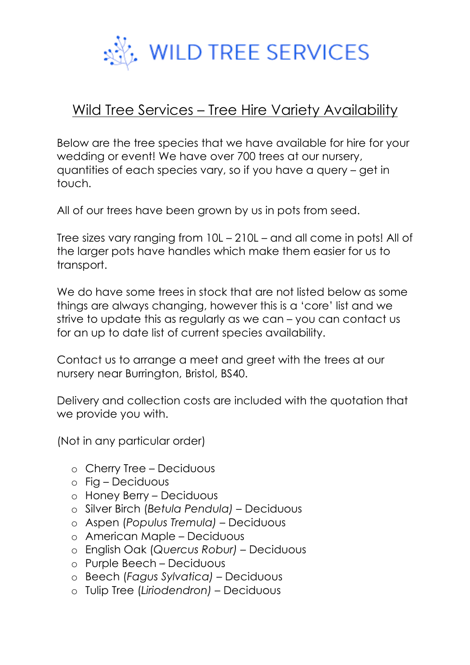

## Wild Tree Services – Tree Hire Variety Availability

Below are the tree species that we have available for hire for your wedding or event! We have over 700 trees at our nursery, quantities of each species vary, so if you have a query – get in touch.

All of our trees have been grown by us in pots from seed.

Tree sizes vary ranging from 10L – 210L – and all come in pots! All of the larger pots have handles which make them easier for us to transport.

We do have some trees in stock that are not listed below as some things are always changing, however this is a 'core' list and we strive to update this as regularly as we can – you can contact us for an up to date list of current species availability.

Contact us to arrange a meet and greet with the trees at our nursery near Burrington, Bristol, BS40.

Delivery and collection costs are included with the quotation that we provide you with.

(Not in any particular order)

- o Cherry Tree Deciduous
- o Fig Deciduous
- o Honey Berry Deciduous
- o Silver Birch (*Betula Pendula)*  Deciduous
- o Aspen (*Populus Tremula)*  Deciduous
- o American Maple Deciduous
- o English Oak (*Quercus Robur)*  Deciduous
- o Purple Beech Deciduous
- o Beech (*Fagus Sylvatica) –* Deciduous
- o Tulip Tree (*Liriodendron)* Deciduous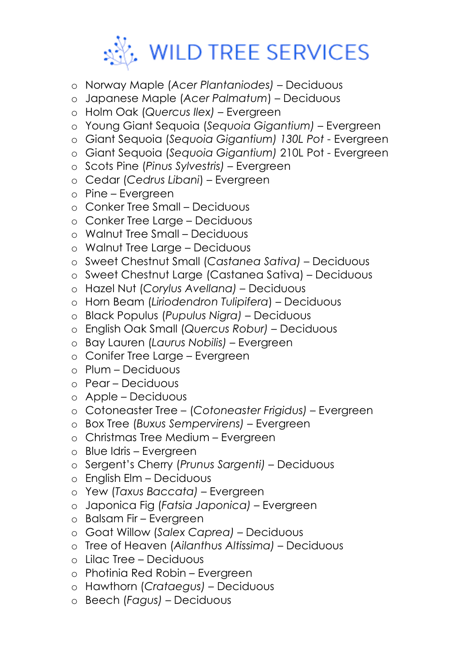

- o Norway Maple (*Acer Plantaniodes)* Deciduous
- o Japanese Maple (*Acer Palmatum*) Deciduous
- o Holm Oak (*Quercus Ilex) –* Evergreen
- o Young Giant Sequoia (*Sequoia Gigantium)* Evergreen
- o Giant Sequoia (*Sequoia Gigantium) 130L Pot* Evergreen
- o Giant Sequoia (*Sequoia Gigantium)* 210L Pot Evergreen
- o Scots Pine (*Pinus Sylvestris)* Evergreen
- o Cedar (*Cedrus Libani*) Evergreen
- o Pine Evergreen
- o Conker Tree Small Deciduous
- o Conker Tree Large Deciduous
- o Walnut Tree Small Deciduous
- o Walnut Tree Large Deciduous
- o Sweet Chestnut Small (*Castanea Sativa)*  Deciduous
- o Sweet Chestnut Large (Castanea Sativa) Deciduous
- o Hazel Nut (*Corylus Avellana) –* Deciduous
- o Horn Beam (*Liriodendron Tulipifera*) Deciduous
- o Black Populus (*Pupulus Nigra)*  Deciduous
- o English Oak Small (*Quercus Robur)*  Deciduous
- o Bay Lauren (*Laurus Nobilis) –* Evergreen
- o Conifer Tree Large Evergreen
- o Plum Deciduous
- o Pear Deciduous
- o Apple Deciduous
- o Cotoneaster Tree (*Cotoneaster Frigidus)* Evergreen
- o Box Tree (*Buxus Sempervirens)* Evergreen
- o Christmas Tree Medium Evergreen
- o Blue Idris Evergreen
- o Sergent's Cherry (*Prunus Sargenti)* Deciduous
- o English Elm Deciduous
- o Yew (*Taxus Baccata)* Evergreen
- o Japonica Fig (*Fatsia Japonica)* Evergreen
- o Balsam Fir Evergreen
- o Goat Willow (*Salex Caprea) –* Deciduous
- o Tree of Heaven (*Ailanthus Altissima)* Deciduous
- o Lilac Tree Deciduous
- o Photinia Red Robin Evergreen
- o Hawthorn (*Crataegus) –* Deciduous
- o Beech (*Fagus)* Deciduous